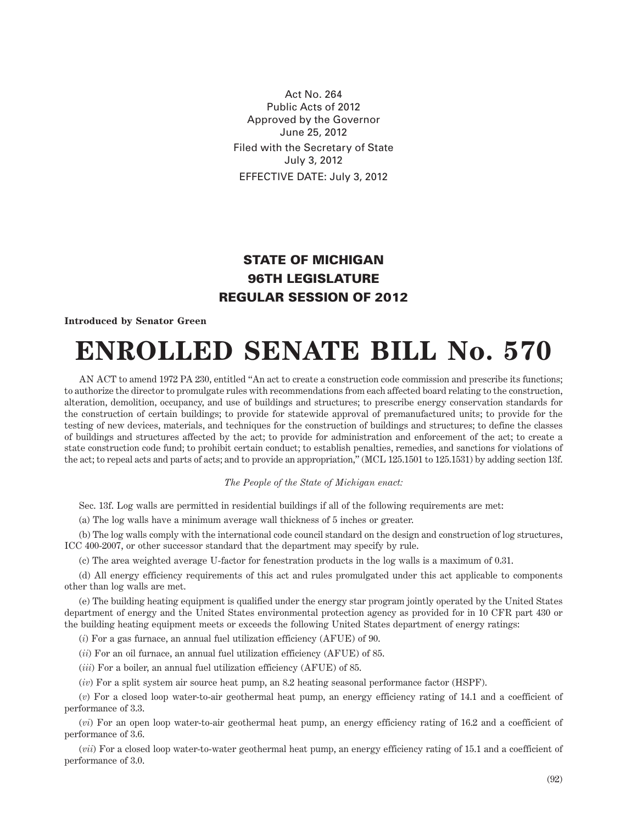Act No. 264 Public Acts of 2012 Approved by the Governor June 25, 2012 Filed with the Secretary of State July 3, 2012 EFFECTIVE DATE: July 3, 2012

## **STATE OF MICHIGAN 96TH LEGISLATURE REGULAR SESSION OF 2012**

## **Introduced by Senator Green**

## **ENROLLED SENATE BILL No. 570**

AN ACT to amend 1972 PA 230, entitled "An act to create a construction code commission and prescribe its functions; to authorize the director to promulgate rules with recommendations from each affected board relating to the construction, alteration, demolition, occupancy, and use of buildings and structures; to prescribe energy conservation standards for the construction of certain buildings; to provide for statewide approval of premanufactured units; to provide for the testing of new devices, materials, and techniques for the construction of buildings and structures; to define the classes of buildings and structures affected by the act; to provide for administration and enforcement of the act; to create a state construction code fund; to prohibit certain conduct; to establish penalties, remedies, and sanctions for violations of the act; to repeal acts and parts of acts; and to provide an appropriation," (MCL 125.1501 to 125.1531) by adding section 13f.

## *The People of the State of Michigan enact:*

Sec. 13f. Log walls are permitted in residential buildings if all of the following requirements are met:

(a) The log walls have a minimum average wall thickness of 5 inches or greater.

(b) The log walls comply with the international code council standard on the design and construction of log structures, ICC 400-2007, or other successor standard that the department may specify by rule.

(c) The area weighted average U-factor for fenestration products in the log walls is a maximum of 0.31.

(d) All energy efficiency requirements of this act and rules promulgated under this act applicable to components other than log walls are met.

(e) The building heating equipment is qualified under the energy star program jointly operated by the United States department of energy and the United States environmental protection agency as provided for in 10 CFR part 430 or the building heating equipment meets or exceeds the following United States department of energy ratings:

(*i*) For a gas furnace, an annual fuel utilization efficiency (AFUE) of 90.

(*ii*) For an oil furnace, an annual fuel utilization efficiency (AFUE) of 85.

(*iii*) For a boiler, an annual fuel utilization efficiency (AFUE) of 85.

(*iv*) For a split system air source heat pump, an 8.2 heating seasonal performance factor (HSPF).

(*v*) For a closed loop water-to-air geothermal heat pump, an energy efficiency rating of 14.1 and a coefficient of performance of 3.3.

(*vi*) For an open loop water-to-air geothermal heat pump, an energy efficiency rating of 16.2 and a coefficient of performance of 3.6.

(*vii*) For a closed loop water-to-water geothermal heat pump, an energy efficiency rating of 15.1 and a coefficient of performance of 3.0.